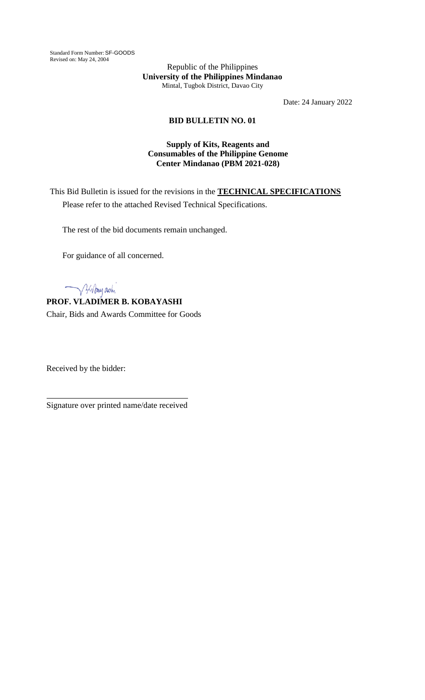Standard Form Number: SF-GOODS Revised on: May 24, 2004

Republic of the Philippines **University of the Philippines Mindanao** Mintal, Tugbok District, Davao City

Date: 24 January 2022

## **BID BULLETIN NO. 01**

## **Supply of Kits, Reagents and Consumables of the Philippine Genome Center Mindanao (PBM 2021-028)**

This Bid Bulletin is issued for the revisions in the **TECHNICAL SPECIFICATIONS** Please refer to the attached Revised Technical Specifications.

The rest of the bid documents remain unchanged.

For guidance of all concerned.

Julian ashi

**PROF. VLADIMER B. KOBAYASHI** Chair, Bids and Awards Committee for Goods

Received by the bidder:

Signature over printed name/date received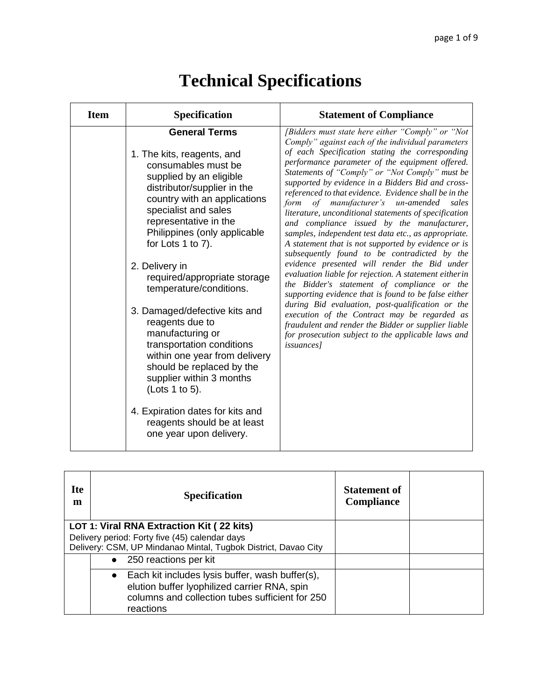| <b>Item</b> | Specification                                                                                                                                                                                                                                                                                                                                                                                                                                                                                                                                                                                                                              | <b>Statement of Compliance</b>                                                                                                                                                                                                                                                                                                                                                                                                                                                                                                                                                                                                                                                                                                                                                                                                                                                                                                                                                                                                                                                                                                                           |
|-------------|--------------------------------------------------------------------------------------------------------------------------------------------------------------------------------------------------------------------------------------------------------------------------------------------------------------------------------------------------------------------------------------------------------------------------------------------------------------------------------------------------------------------------------------------------------------------------------------------------------------------------------------------|----------------------------------------------------------------------------------------------------------------------------------------------------------------------------------------------------------------------------------------------------------------------------------------------------------------------------------------------------------------------------------------------------------------------------------------------------------------------------------------------------------------------------------------------------------------------------------------------------------------------------------------------------------------------------------------------------------------------------------------------------------------------------------------------------------------------------------------------------------------------------------------------------------------------------------------------------------------------------------------------------------------------------------------------------------------------------------------------------------------------------------------------------------|
|             | <b>General Terms</b><br>1. The kits, reagents, and<br>consumables must be<br>supplied by an eligible<br>distributor/supplier in the<br>country with an applications<br>specialist and sales<br>representative in the<br>Philippines (only applicable<br>for Lots 1 to 7).<br>2. Delivery in<br>required/appropriate storage<br>temperature/conditions.<br>3. Damaged/defective kits and<br>reagents due to<br>manufacturing or<br>transportation conditions<br>within one year from delivery<br>should be replaced by the<br>supplier within 3 months<br>(Lots 1 to 5).<br>4. Expiration dates for kits and<br>reagents should be at least | [Bidders must state here either "Comply" or "Not<br>Comply" against each of the individual parameters<br>of each Specification stating the corresponding<br>performance parameter of the equipment offered.<br>Statements of "Comply" or "Not Comply" must be<br>supported by evidence in a Bidders Bid and cross-<br>referenced to that evidence. Evidence shall be in the<br>of manufacturer's un-amended<br>form<br>sales<br>literature, unconditional statements of specification<br>and compliance issued by the manufacturer,<br>samples, independent test data etc., as appropriate.<br>A statement that is not supported by evidence or is<br>subsequently found to be contradicted by the<br>evidence presented will render the Bid under<br>evaluation liable for rejection. A statement eitherin<br>the Bidder's statement of compliance or the<br>supporting evidence that is found to be false either<br>during Bid evaluation, post-qualification or the<br>execution of the Contract may be regarded as<br>fraudulent and render the Bidder or supplier liable<br>for prosecution subject to the applicable laws and<br><i>issuances]</i> |
|             | one year upon delivery.                                                                                                                                                                                                                                                                                                                                                                                                                                                                                                                                                                                                                    |                                                                                                                                                                                                                                                                                                                                                                                                                                                                                                                                                                                                                                                                                                                                                                                                                                                                                                                                                                                                                                                                                                                                                          |

| <b>Ite</b><br>m | <b>Specification</b>                                           | <b>Statement of</b><br><b>Compliance</b> |  |
|-----------------|----------------------------------------------------------------|------------------------------------------|--|
|                 | LOT 1: Viral RNA Extraction Kit (22 kits)                      |                                          |  |
|                 | Delivery period: Forty five (45) calendar days                 |                                          |  |
|                 | Delivery: CSM, UP Mindanao Mintal, Tugbok District, Davao City |                                          |  |
|                 | • 250 reactions per kit                                        |                                          |  |
|                 | $\bullet$ Each kit includes lysis buffer, wash buffer(s),      |                                          |  |
|                 | elution buffer lyophilized carrier RNA, spin                   |                                          |  |
|                 | columns and collection tubes sufficient for 250                |                                          |  |
|                 | reactions                                                      |                                          |  |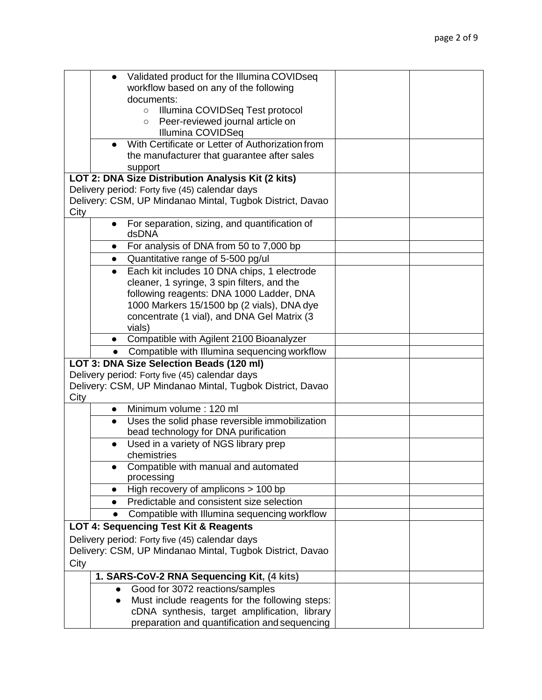|      |           | Validated product for the Illumina COVIDseq               |  |
|------|-----------|-----------------------------------------------------------|--|
|      |           | workflow based on any of the following                    |  |
|      |           | documents:                                                |  |
|      |           | Illumina COVIDSeq Test protocol<br>$\circ$                |  |
|      |           | Peer-reviewed journal article on<br>$\circ$               |  |
|      |           | Illumina COVIDSeq                                         |  |
|      |           | With Certificate or Letter of Authorization from          |  |
|      |           | the manufacturer that guarantee after sales               |  |
|      |           | support                                                   |  |
|      |           | LOT 2: DNA Size Distribution Analysis Kit (2 kits)        |  |
|      |           | Delivery period: Forty five (45) calendar days            |  |
|      |           | Delivery: CSM, UP Mindanao Mintal, Tugbok District, Davao |  |
| City |           |                                                           |  |
|      |           | For separation, sizing, and quantification of<br>dsDNA    |  |
|      |           | For analysis of DNA from 50 to 7,000 bp                   |  |
|      |           |                                                           |  |
|      | $\bullet$ | Quantitative range of 5-500 pg/ul                         |  |
|      |           | Each kit includes 10 DNA chips, 1 electrode               |  |
|      |           | cleaner, 1 syringe, 3 spin filters, and the               |  |
|      |           | following reagents: DNA 1000 Ladder, DNA                  |  |
|      |           | 1000 Markers 15/1500 bp (2 vials), DNA dye                |  |
|      |           | concentrate (1 vial), and DNA Gel Matrix (3               |  |
|      |           | vials)<br>Compatible with Agilent 2100 Bioanalyzer        |  |
|      |           | • Compatible with Illumina sequencing workflow            |  |
|      |           | LOT 3: DNA Size Selection Beads (120 ml)                  |  |
|      |           | Delivery period: Forty five (45) calendar days            |  |
|      |           |                                                           |  |
| City |           | Delivery: CSM, UP Mindanao Mintal, Tugbok District, Davao |  |
|      | $\bullet$ | Minimum volume: 120 ml                                    |  |
|      | $\bullet$ | Uses the solid phase reversible immobilization            |  |
|      |           | bead technology for DNA purification                      |  |
|      |           | Used in a variety of NGS library prep                     |  |
|      |           | chemistries                                               |  |
|      |           | Compatible with manual and automated                      |  |
|      |           | processing                                                |  |
|      |           | High recovery of amplicons $> 100$ bp                     |  |
|      | $\bullet$ | Predictable and consistent size selection                 |  |
|      | $\bullet$ | Compatible with Illumina sequencing workflow              |  |
|      |           | LOT 4: Sequencing Test Kit & Reagents                     |  |
|      |           | Delivery period: Forty five (45) calendar days            |  |
|      |           | Delivery: CSM, UP Mindanao Mintal, Tugbok District, Davao |  |
| City |           |                                                           |  |
|      |           |                                                           |  |
|      |           | 1. SARS-CoV-2 RNA Sequencing Kit, (4 kits)                |  |
|      | $\bullet$ | Good for 3072 reactions/samples                           |  |
|      | $\bullet$ | Must include reagents for the following steps:            |  |
|      |           | cDNA synthesis, target amplification, library             |  |
|      |           | preparation and quantification and sequencing             |  |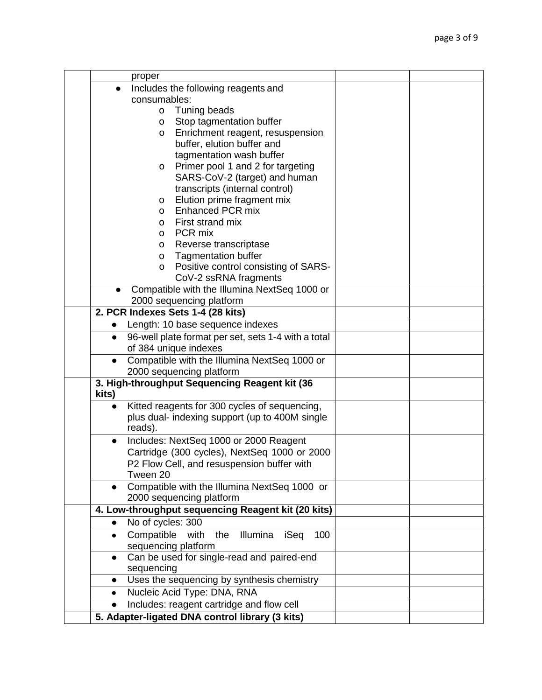| proper                                                                             |  |
|------------------------------------------------------------------------------------|--|
| Includes the following reagents and                                                |  |
| consumables:                                                                       |  |
| o Tuning beads                                                                     |  |
| Stop tagmentation buffer<br>O                                                      |  |
| Enrichment reagent, resuspension<br>O                                              |  |
| buffer, elution buffer and                                                         |  |
| tagmentation wash buffer                                                           |  |
| Primer pool 1 and 2 for targeting<br>$\mathsf{O}$                                  |  |
| SARS-CoV-2 (target) and human                                                      |  |
| transcripts (internal control)                                                     |  |
| Elution prime fragment mix<br>O                                                    |  |
| <b>Enhanced PCR mix</b><br>O                                                       |  |
| First strand mix<br>O                                                              |  |
| PCR mix<br>O                                                                       |  |
| Reverse transcriptase<br>O                                                         |  |
| <b>Tagmentation buffer</b><br>$\mathsf{o}$                                         |  |
| Positive control consisting of SARS-<br>0                                          |  |
| CoV-2 ssRNA fragments                                                              |  |
| Compatible with the Illumina NextSeq 1000 or<br>2000 sequencing platform           |  |
| 2. PCR Indexes Sets 1-4 (28 kits)                                                  |  |
| Length: 10 base sequence indexes                                                   |  |
| 96-well plate format per set, sets 1-4 with a total<br>$\bullet$                   |  |
| of 384 unique indexes                                                              |  |
| Compatible with the Illumina NextSeq 1000 or                                       |  |
| 2000 sequencing platform                                                           |  |
| 3. High-throughput Sequencing Reagent kit (36<br>kits)                             |  |
| Kitted reagents for 300 cycles of sequencing,                                      |  |
| plus dual- indexing support (up to 400M single                                     |  |
| reads).                                                                            |  |
| Includes: NextSeq 1000 or 2000 Reagent                                             |  |
| Cartridge (300 cycles), NextSeq 1000 or 2000                                       |  |
| P2 Flow Cell, and resuspension buffer with                                         |  |
| Tween 20                                                                           |  |
| Compatible with the Illumina NextSeq 1000 or<br>$\bullet$                          |  |
| 2000 sequencing platform                                                           |  |
| 4. Low-throughput sequencing Reagent kit (20 kits)                                 |  |
| No of cycles: 300<br>$\bullet$                                                     |  |
| Compatible with the<br>Illumina<br>iSeq<br>100<br>$\bullet$<br>sequencing platform |  |
| Can be used for single-read and paired-end                                         |  |
| sequencing                                                                         |  |
| Uses the sequencing by synthesis chemistry                                         |  |
| Nucleic Acid Type: DNA, RNA<br>$\bullet$                                           |  |
| Includes: reagent cartridge and flow cell                                          |  |
| 5. Adapter-ligated DNA control library (3 kits)                                    |  |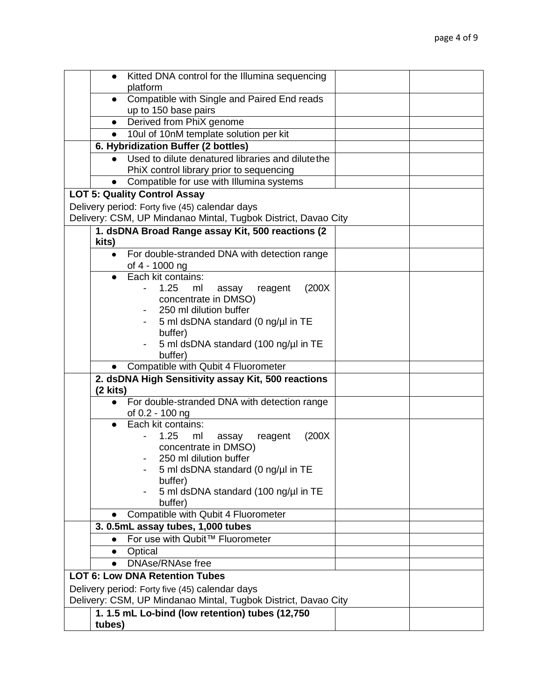|            | Kitted DNA control for the Illumina sequencing                                                                   |  |
|------------|------------------------------------------------------------------------------------------------------------------|--|
|            | platform                                                                                                         |  |
| $\bullet$  | Compatible with Single and Paired End reads<br>up to 150 base pairs                                              |  |
| $\bullet$  | Derived from PhiX genome                                                                                         |  |
| $\bullet$  | 10ul of 10nM template solution per kit                                                                           |  |
|            | 6. Hybridization Buffer (2 bottles)                                                                              |  |
| $\bullet$  | Used to dilute denatured libraries and dilute the                                                                |  |
|            | PhiX control library prior to sequencing                                                                         |  |
|            | Compatible for use with Illumina systems                                                                         |  |
|            | <b>LOT 5: Quality Control Assay</b>                                                                              |  |
|            | Delivery period: Forty five (45) calendar days                                                                   |  |
|            | Delivery: CSM, UP Mindanao Mintal, Tugbok District, Davao City                                                   |  |
|            | 1. dsDNA Broad Range assay Kit, 500 reactions (2                                                                 |  |
| kits)      |                                                                                                                  |  |
| $\bullet$  | For double-stranded DNA with detection range                                                                     |  |
|            | of 4 - 1000 ng                                                                                                   |  |
|            | Each kit contains:                                                                                               |  |
|            | 1.25<br>(200X)<br>ml<br>reagent<br>assay                                                                         |  |
|            | concentrate in DMSO)                                                                                             |  |
|            | 250 ml dilution buffer                                                                                           |  |
|            | 5 ml dsDNA standard (0 ng/µl in TE                                                                               |  |
|            | buffer)                                                                                                          |  |
|            | 5 ml dsDNA standard (100 ng/µl in TE                                                                             |  |
|            | buffer)<br>Compatible with Qubit 4 Fluorometer                                                                   |  |
|            | 2. dsDNA High Sensitivity assay Kit, 500 reactions                                                               |  |
| $(2$ kits) |                                                                                                                  |  |
| $\bullet$  | For double-stranded DNA with detection range                                                                     |  |
|            | of 0.2 - 100 ng                                                                                                  |  |
|            | Each kit contains:                                                                                               |  |
|            | 1.25<br>(200X)<br>ml<br>reagent<br>assay                                                                         |  |
|            | concentrate in DMSO)                                                                                             |  |
|            | 250 ml dilution buffer                                                                                           |  |
|            | 5 ml dsDNA standard (0 ng/µl in TE                                                                               |  |
|            | buffer)                                                                                                          |  |
|            | 5 ml dsDNA standard (100 ng/µl in TE                                                                             |  |
|            | buffer)<br>Compatible with Qubit 4 Fluorometer                                                                   |  |
|            | 3. 0.5mL assay tubes, 1,000 tubes                                                                                |  |
|            | For use with Qubit™ Fluorometer                                                                                  |  |
| $\bullet$  | Optical                                                                                                          |  |
| $\bullet$  | <b>DNAse/RNAse free</b>                                                                                          |  |
|            | <b>LOT 6: Low DNA Retention Tubes</b>                                                                            |  |
|            |                                                                                                                  |  |
|            | Delivery period: Forty five (45) calendar days<br>Delivery: CSM, UP Mindanao Mintal, Tugbok District, Davao City |  |
|            |                                                                                                                  |  |
|            | 1. 1.5 mL Lo-bind (low retention) tubes (12,750                                                                  |  |
| tubes)     |                                                                                                                  |  |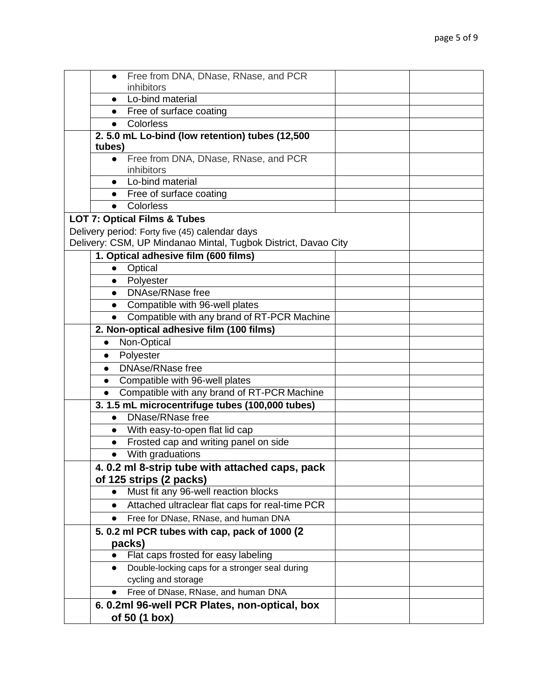| Free from DNA, DNase, RNase, and PCR                                      |  |
|---------------------------------------------------------------------------|--|
| inhibitors                                                                |  |
| Lo-bind material<br>$\bullet$                                             |  |
| Free of surface coating<br>$\bullet$                                      |  |
| Colorless<br>$\bullet$                                                    |  |
| 2.5.0 mL Lo-bind (low retention) tubes (12,500<br>tubes)                  |  |
| Free from DNA, DNase, RNase, and PCR<br>$\bullet$<br>inhibitors           |  |
| Lo-bind material                                                          |  |
| Free of surface coating<br>$\bullet$                                      |  |
| Colorless<br>$\bullet$                                                    |  |
| <b>LOT 7: Optical Films &amp; Tubes</b>                                   |  |
| Delivery period: Forty five (45) calendar days                            |  |
| Delivery: CSM, UP Mindanao Mintal, Tugbok District, Davao City            |  |
| 1. Optical adhesive film (600 films)                                      |  |
| Optical<br>$\bullet$                                                      |  |
| Polyester<br>$\bullet$                                                    |  |
| <b>DNAse/RNase free</b><br>$\bullet$                                      |  |
| Compatible with 96-well plates<br>$\bullet$                               |  |
| Compatible with any brand of RT-PCR Machine<br>$\bullet$                  |  |
| 2. Non-optical adhesive film (100 films)                                  |  |
| Non-Optical<br>$\bullet$                                                  |  |
| Polyester<br>$\bullet$                                                    |  |
| <b>DNAse/RNase free</b><br>$\bullet$                                      |  |
| Compatible with 96-well plates<br>$\bullet$                               |  |
| Compatible with any brand of RT-PCR Machine<br>$\bullet$                  |  |
| 3. 1.5 mL microcentrifuge tubes (100,000 tubes)                           |  |
| DNase/RNase free<br>$\bullet$                                             |  |
| With easy-to-open flat lid cap<br>$\bullet$                               |  |
| Frosted cap and writing panel on side<br>$\bullet$                        |  |
| • With graduations                                                        |  |
| 4.0.2 ml 8-strip tube with attached caps, pack<br>of 125 strips (2 packs) |  |
| Must fit any 96-well reaction blocks<br>$\bullet$                         |  |
| Attached ultraclear flat caps for real-time PCR<br>$\bullet$              |  |
| Free for DNase, RNase, and human DNA<br>$\bullet$                         |  |
| 5. 0.2 ml PCR tubes with cap, pack of 1000 (2                             |  |
| packs)                                                                    |  |
| Flat caps frosted for easy labeling                                       |  |
| Double-locking caps for a stronger seal during<br>$\bullet$               |  |
| cycling and storage                                                       |  |
| Free of DNase, RNase, and human DNA                                       |  |
| 6. 0.2ml 96-well PCR Plates, non-optical, box                             |  |
| of 50 (1 box)                                                             |  |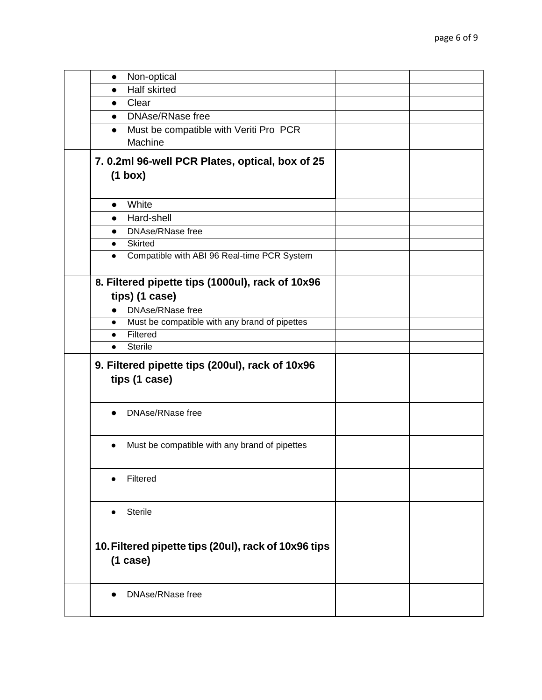| Non-optical<br>$\bullet$                                            |  |
|---------------------------------------------------------------------|--|
| <b>Half skirted</b><br>$\bullet$                                    |  |
| Clear<br>$\bullet$                                                  |  |
| <b>DNAse/RNase free</b><br>$\bullet$                                |  |
| Must be compatible with Veriti Pro PCR<br>$\bullet$                 |  |
| Machine                                                             |  |
| 7. 0.2ml 96-well PCR Plates, optical, box of 25                     |  |
| $(1 \text{ box})$                                                   |  |
|                                                                     |  |
| White<br>$\bullet$                                                  |  |
| Hard-shell<br>$\bullet$                                             |  |
|                                                                     |  |
| <b>DNAse/RNase free</b><br>$\bullet$<br><b>Skirted</b><br>$\bullet$ |  |
| Compatible with ABI 96 Real-time PCR System                         |  |
|                                                                     |  |
| 8. Filtered pipette tips (1000ul), rack of 10x96                    |  |
| tips) (1 case)                                                      |  |
| DNAse/RNase free<br>$\bullet$                                       |  |
| Must be compatible with any brand of pipettes<br>$\bullet$          |  |
| Filtered<br>$\bullet$                                               |  |
| <b>Sterile</b><br>$\bullet$                                         |  |
|                                                                     |  |
| 9. Filtered pipette tips (200ul), rack of 10x96                     |  |
| tips (1 case)                                                       |  |
|                                                                     |  |
| <b>DNAse/RNase free</b>                                             |  |
|                                                                     |  |
|                                                                     |  |
|                                                                     |  |
| Must be compatible with any brand of pipettes<br>$\bullet$          |  |
|                                                                     |  |
| Filtered                                                            |  |
|                                                                     |  |
|                                                                     |  |
| <b>Sterile</b>                                                      |  |
|                                                                     |  |
|                                                                     |  |
| 10. Filtered pipette tips (20ul), rack of 10x96 tips                |  |
| (1 case)                                                            |  |
|                                                                     |  |
| <b>DNAse/RNase free</b>                                             |  |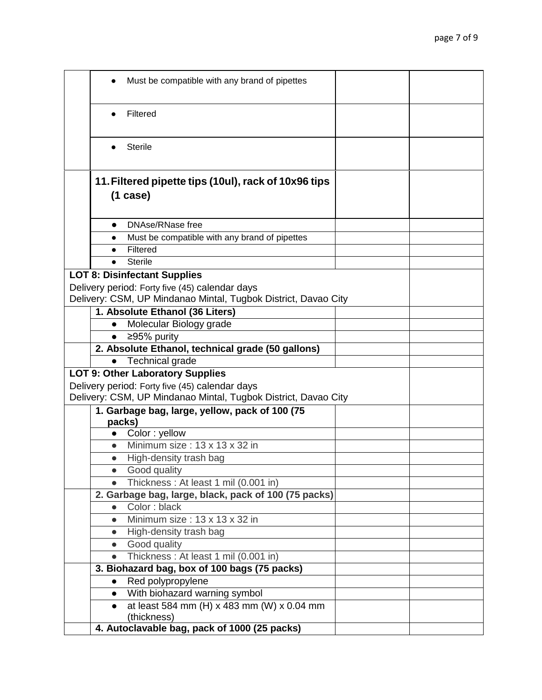| Must be compatible with any brand of pipettes                                                                    |                                            |  |
|------------------------------------------------------------------------------------------------------------------|--------------------------------------------|--|
| Filtered                                                                                                         |                                            |  |
| <b>Sterile</b>                                                                                                   |                                            |  |
| 11. Filtered pipette tips (10ul), rack of 10x96 tips                                                             |                                            |  |
| (1 case)                                                                                                         |                                            |  |
|                                                                                                                  |                                            |  |
| DNAse/RNase free<br>$\bullet$                                                                                    |                                            |  |
| Must be compatible with any brand of pipettes<br>$\bullet$                                                       |                                            |  |
| Filtered<br>$\bullet$                                                                                            |                                            |  |
| <b>Sterile</b>                                                                                                   |                                            |  |
| <b>LOT 8: Disinfectant Supplies</b>                                                                              |                                            |  |
| Delivery period: Forty five (45) calendar days<br>Delivery: CSM, UP Mindanao Mintal, Tugbok District, Davao City |                                            |  |
| 1. Absolute Ethanol (36 Liters)                                                                                  |                                            |  |
| Molecular Biology grade<br>$\bullet$                                                                             |                                            |  |
| ≥95% purity<br>$\bullet$                                                                                         |                                            |  |
| 2. Absolute Ethanol, technical grade (50 gallons)                                                                |                                            |  |
| Technical grade<br>$\bullet$                                                                                     |                                            |  |
| <b>LOT 9: Other Laboratory Supplies</b>                                                                          |                                            |  |
| Delivery period: Forty five (45) calendar days                                                                   |                                            |  |
| Delivery: CSM, UP Mindanao Mintal, Tugbok District, Davao City                                                   |                                            |  |
| 1. Garbage bag, large, yellow, pack of 100 (75<br>packs)                                                         |                                            |  |
| Color: yellow<br>$\bullet$                                                                                       |                                            |  |
| Minimum size: 13 x 13 x 32 in<br>$\bullet$                                                                       |                                            |  |
| High-density trash bag<br>$\bullet$                                                                              |                                            |  |
| Good quality<br>$\bullet$                                                                                        |                                            |  |
| Thickness: At least 1 mil (0.001 in)<br>$\bullet$                                                                |                                            |  |
| 2. Garbage bag, large, black, pack of 100 (75 packs)<br>Color: black<br>$\bullet$                                |                                            |  |
| Minimum size: 13 x 13 x 32 in<br>$\bullet$                                                                       |                                            |  |
| High-density trash bag<br>$\bullet$                                                                              |                                            |  |
| Good quality<br>$\bullet$                                                                                        |                                            |  |
| Thickness: At least 1 mil (0.001 in)<br>$\bullet$                                                                |                                            |  |
| 3. Biohazard bag, box of 100 bags (75 packs)                                                                     |                                            |  |
| Red polypropylene<br>$\bullet$                                                                                   |                                            |  |
| With biohazard warning symbol<br>$\bullet$                                                                       |                                            |  |
| (thickness)                                                                                                      | at least 584 mm (H) x 483 mm (W) x 0.04 mm |  |
| 4. Autoclavable bag, pack of 1000 (25 packs)                                                                     |                                            |  |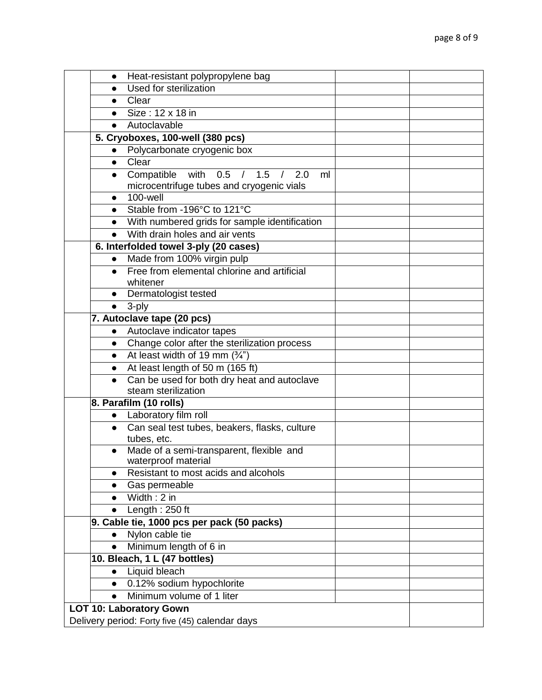|           | Heat-resistant polypropylene bag                |  |
|-----------|-------------------------------------------------|--|
|           | <b>Used for sterilization</b>                   |  |
| $\bullet$ | Clear                                           |  |
| $\bullet$ | Size: 12 x 18 in                                |  |
| $\bullet$ | Autoclavable                                    |  |
|           | 5. Cryoboxes, 100-well (380 pcs)                |  |
|           | Polycarbonate cryogenic box                     |  |
| $\bullet$ | Clear                                           |  |
| $\bullet$ | Compatible with 0.5 / 1.5 / 2.0<br>ml           |  |
|           | microcentrifuge tubes and cryogenic vials       |  |
| $\bullet$ | 100-well                                        |  |
| $\bullet$ | Stable from -196°C to 121°C                     |  |
|           | • With numbered grids for sample identification |  |
| $\bullet$ | With drain holes and air vents                  |  |
|           | 6. Interfolded towel 3-ply (20 cases)           |  |
| $\bullet$ | Made from 100% virgin pulp                      |  |
| $\bullet$ | Free from elemental chlorine and artificial     |  |
|           | whitener                                        |  |
| $\bullet$ | Dermatologist tested                            |  |
| $\bullet$ | 3-ply                                           |  |
|           | 7. Autoclave tape (20 pcs)                      |  |
| $\bullet$ | Autoclave indicator tapes                       |  |
| $\bullet$ | Change color after the sterilization process    |  |
| $\bullet$ | At least width of 19 mm $(\frac{3}{4})$         |  |
| $\bullet$ | At least length of 50 m (165 ft)                |  |
| $\bullet$ | Can be used for both dry heat and autoclave     |  |
|           | steam sterilization                             |  |
|           | 8. Parafilm (10 rolls)                          |  |
|           | • Laboratory film roll                          |  |
| $\bullet$ | Can seal test tubes, beakers, flasks, culture   |  |
|           | tubes, etc.                                     |  |
|           | Made of a semi-transparent, flexible and        |  |
|           | waterproof material                             |  |
|           | Resistant to most acids and alcohols            |  |
|           | Gas permeable                                   |  |
| $\bullet$ | $Width: 2$ in                                   |  |
| $\bullet$ | Length: 250 ft                                  |  |
|           | 9. Cable tie, 1000 pcs per pack (50 packs)      |  |
| $\bullet$ | Nylon cable tie                                 |  |
| $\bullet$ | Minimum length of 6 in                          |  |
|           | 10. Bleach, 1 L (47 bottles)                    |  |
| $\bullet$ | <b>Liquid bleach</b>                            |  |
| $\bullet$ | 0.12% sodium hypochlorite                       |  |
| $\bullet$ | Minimum volume of 1 liter                       |  |
|           | <b>LOT 10: Laboratory Gown</b>                  |  |
|           | Delivery period: Forty five (45) calendar days  |  |